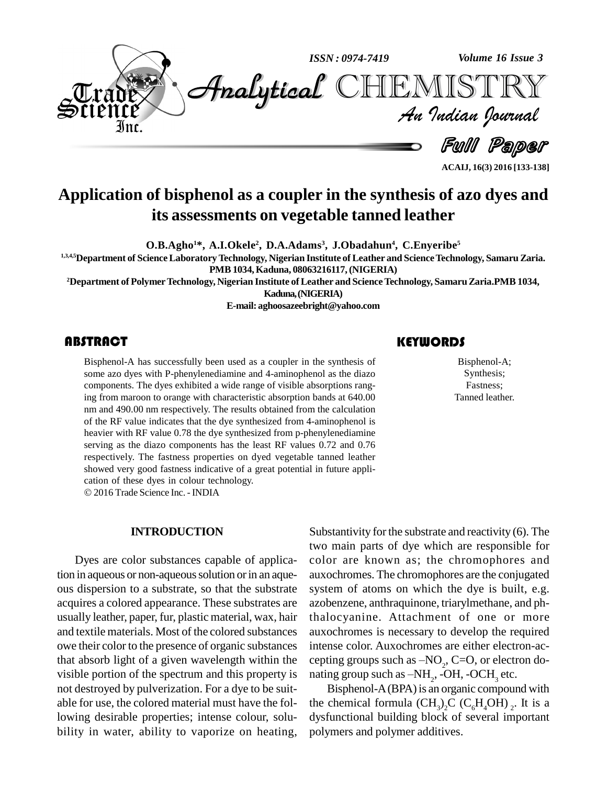

**ACAIJ, 16(3) 2016 [133-138]**

# **Application of bisphenol as a coupler in the synthesis of azo dyes and its assessments on vegetable tanned leather**

**O.B.Agho <sup>1</sup>\*, A.I.Okele 2 , D.A.Adams 3 , J.Obadahun 4 , C.Enyeribe 5**

**1,3,4,5Department of ScienceLaboratoryTechnology, Nigerian Institute of Leather and ScienceTechnology, Samaru Zaria. PMB1034,Kaduna, 08063216117,(NIGERIA)**

**<sup>2</sup>Department of PolymerTechnology, Nigerian Institute ofLeather and ScienceTechnology, SamaruZaria.PMB1034,**

**Kaduna,(NIGERIA)**

**E-mail: [aghoosazeebright@yahoo.com](mailto:aghoosazeebright@yahoo.com)**

# **ABSTRACT**

Bisphenol-A has succes<br>some azo dyes with P-pl<br>components. The dyes e Bisphenol-A has successfully been used as a coupler in the synthesis of some azo dyes with P-phenylenediamine and 4-aminophenol as the diazo components. The dyes exhibited a wide range of visible absorptions ranging from maroon to orange with characteristic absorption bands at 640.00 nm and 490.00 nm respectively. The results obtained from the calculation of the RF value indicates that the dye synthesized from 4-aminophenol is heavier with RF value 0.78 the dye synthesized from p-phenylenediamine serving as the diazo components has the least RF values 0.72 and 0.76 respectively. The fastness properties on dyed vegetable tanned leather showed very good fastness indicative of a great potential in future appli- cation of these dyes in colour technology.

© 2016 Trade Science Inc. - INDIA

#### **INTRODUCTION**

Dyes are color substances capable of application in aqueous or non-aqueous solution or in an aqueous dispersion to a substrate, so that the substrate acquires a colored appearance. These substrates are usually leather, paper, fur, plastic material, wax, hair and textile materials. Most of the colored substances owe their color to the presence of organic substances that absorb light of a given wavelength within the visible portion of the spectrum and this property is nating group such as  $-NH_2$ , -OH, -OCH<sub>3</sub> etc. not destroyed by pulverization. For a dye to be suit able for use, the colored material must have the following desirable properties; intense colour, solu bility in water, ability to vaporize on heating,

Substantivity for the substrate and reactivity  $(6)$ . The two main parts of dye which are responsible for color are known as; the chromophores and auxochromes. The chromophores are the conjugated system of atoms on which the dye is built, e.g. azobenzene, anthraquinone, triarylmethane, and phthalocyanine. Attachment of one or more auxochromes is necessary to develop the required intense color. Auxochromes are either electron-ac auxochromes is necessary to deve<br>intense color. Auxochromes are ei<br>cepting groups such as  $-NO_2$ , C=C cepting groups such as  $-NO<sub>2</sub>$ , C=O, or electron dointense color. Auxochromes are<br>cepting groups such as  $-NO_2$ , C<br>nating group such as  $-NH_2$ , -OH

Bisphenol-A(BPA) is an organic compound with the chemical formula  $(CH_3)_2C$   $(C_6H_4OH)_{2}$ . It is a dysfunctional building block of several important polymers and polymer additives.

# **KEYWORDS**

Bisphenol-A<br>Synthesis;<br>Fastness; Bisphenol-A; Synthesis; Fastness; Tanned leather.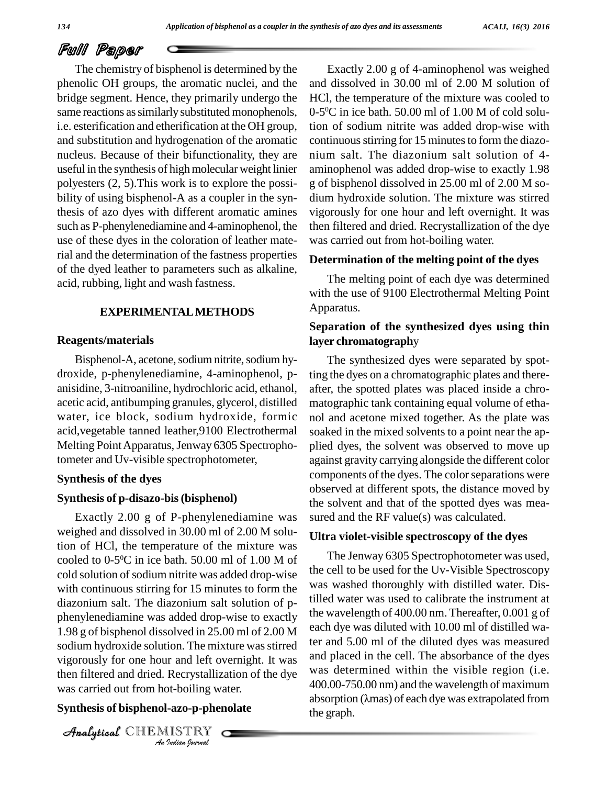# Full Paper

The chemistry of bisphenol is determined by the phenolic OH groups, the aromatic nuclei, and the bridge segment. Hence, they primarily undergo the same reactions as similarly substituted monophenols, i.e. esterification and etherification at the OH group, and substitution and hydrogenation of the aromatic nucleus. Because of their bifunctionality, they are useful in the synthesis of highmolecular weight linier polyesters (2, 5).This work is to explore the possi bility of using bisphenol-A as a coupler in the synthesis of azo dyes with different aromatic amines such as P-phenylenediamine and 4-aminophenol, the use of these dyes in the coloration of leather material and the determination of the fastness properties of the dyed leather to parameters such as alkaline, acid, rubbing, light and wash fastness.

#### **EXPERIMENTALMETHODS**

#### **Reagents/materials**

Bisphenol-A, acetone, sodium nitrite, sodium hydroxide, p-phenylenediamine, 4-aminophenol, p anisidine, 3-nitroaniline, hydrochloric acid, ethanol, acetic acid, antibumping granules, glycerol, distilled water, ice block, sodium hydroxide, formic acid,vegetable tanned leather,9100 Electrothermal Melting Point Apparatus, Jenway 6305 Spectrophotometer and Uv-visible spectrophotometer,

#### **Synthesis of the dyes**

#### **Synthesis of p-disazo-bis(bisphenol)**

vigorously for one hour and left overnight. It was  $\frac{d}{dx}$ *Indian*<br> *Indian*<br> *I Ion-P-Pher<br>
<i>IISTRY*<br> *IISTRY* Exactly 2.00 g of P-phenylenediamine was weighed and dissolved in 30.00 ml of 2.00 M solution of HCl, the temperature of the mixture was cooled to 0-5<sup>o</sup>C in ice bath. 50.00 ml of 1.00 M of  $\frac{1 \text{ ne her}}{1 \text{ sec}}$ cold solution of sodium nitrite was added drop-wise with continuous stirring for 15 minutes to form the diazonium salt. The diazonium salt solution of p phenylenediamine was added drop-wise to exactly 1.98 g of bisphenol dissolved in 25.00 ml of 2.00 M sodium hydroxide solution. The mixture was stirred then filtered and dried. Recrystallization of the dye was carried out from hot-boiling water.

### **Synthesis of bisphenol-azo-p-phenolate**

CHEMISTRY COMPANY

Exactly 2.00 g of 4-aminophenol was weighed and dissolved in 30.00 ml of 2.00 M solution of HCl, the temperature of the mixture was cooled to  $0\n-5$ <sup>o</sup>C in ice bath. 50.00 ml of 1.00 M of cold solution of sodium nitrite was added drop-wise with continuous stirring for 15 minutes to form the diazonium salt. The diazonium salt solution of 4 aminophenol was added drop-wise to exactly 1.98 g of bisphenol dissolved in 25.00 ml of 2.00 M so dium hydroxide solution. The mixture was stirred vigorously for one hour and left overnight. It was then filtered and dried. Recrystallization of the dye was carried out from hot-boiling water.

#### **Determination of the melting point of the dyes**

The melting point of each dye was determined with the use of 9100 Electrothermal Melting Point Apparatus.

# **Separation of the synthesized dyes using thin layer chromatograph**y

The synthesized dyes were separated by spotting the dyes on a chromatographic plates and there after, the spotted plates was placed inside a chro matographic tank containing equal volume of etha nol and acetone mixed together. As the plate was soaked in the mixed solvents to a point near the ap plied dyes, the solvent was observed to move up against gravity carrying alongside the different color components of the dyes. The colorseparations were observed at different spots, the distance moved by the solvent and that of the spotted dyes was mea sured and the RF value(s) was calculated.

#### **Ultra violet-visible spectroscopy of the dyes**

The Jenway 6305 Spectrophotometer was used, the cell to be used for the Uv-Visible Spectroscopy was washed thoroughly with distilled water. Distilled water was used to calibrate the instrument at the wavelength of 400.00 nm. Thereafter, 0.001 g of each dye was diluted with 10.00 ml of distilled water and 5.00 ml of the diluted dyes was measured and placed in the cell. The absorbance of the dyes was determined within the visible region (i.e.<br>400.00-750.00 nm) and the wavelength of maximum<br>absorption ( $\lambda$ mas) of each dye was extrapolated from 400.00-750.00 nm) and the wavelength of maximum the graph.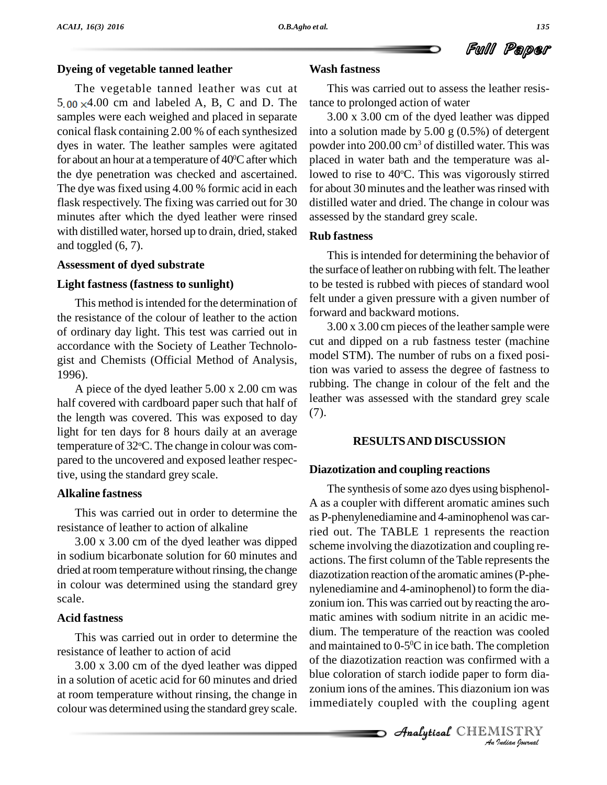# **Dyeing of vegetable tanned leather**

The vegetable tanned leather was cut at  $5.00 \times 4.00$  cm and labeled A, B, C and D. The samples were each weighed and placed in separate conical flask containing 2.00 % of each synthesized dyes in water. The leather samples were agitated for about an hour at a temperature of 40<sup>o</sup>C after which placed the dye penetration was checked and ascertained. The dye was fixed using 4.00 % formic acid in each flask respectively. The fixing was carried out for 30 minutes after which the dyed leather were rinsed with distilled water, horsed up to drain, dried, staked and toggled (6, 7).

#### **Assessment of dyed substrate**

### **Light fastness (fastness to sunlight)**

This method is intended for the determination of the resistance of the colour of leather to the action of ordinary day light. This test was carried out in accordance with the Society of Leather Technolo gist and Chemists (Official Method of Analysis, 1996).

A piece of the dyed leather 5.00 x 2.00 cm was half covered with cardboard paper such that half of the length was covered. This was exposed to day light for ten days for 8 hours daily at an average temperature of 32°C. The change in colour was compared to the uncovered and exposed leather respective, using the standard grey scale.

### **Alkaline fastness**

This was carried out in order to determine the resistance of leather to action of alkaline

3.00 x 3.00 cm of the dyed leather was dipped in sodium bicarbonate solution for 60 minutes and dried at room temperature without rinsing, the change in colour was determined using the standard grey scale.

# **Acid fastness**

This was carried out in order to determine the resistance of leather to action of acid

3.00 x 3.00 cm of the dyed leather was dipped in a solution of acetic acid for 60 minutes and dried at room temperature without rinsing, the change in colour was determined using the standard grey scale.

# **Wash fastness**

This was carried out to assess the leather resistance to prolonged action of water

3.00 x 3.00 cm of the dyed leather was dipped into a solution made by 5.00 g (0.5%) of detergent powder into 200.00 cm<sup>3</sup> of distilled water. This was placed in water bath and the temperature was allowed to rise to 40°C. This was vigorously stirred for about 30 minutes and the leather was rinsed with distilled water and dried. The change in colour was assessed by the standard grey scale.

### **Rub fastness**

This is intended for determining the behavior of the surface of leather on rubbing with felt. The leather to be tested is rubbed with pieces of standard wool felt under a given pressure with a given number of forward and backward motions.

 $3.00 \times 3.00$  cm pieces of the leather sample were cut and dipped on a rub fastness tester (machine model STM). The number of rubs on a fixed position was varied to assess the degree of fastness to rubbing. The change in colour of the felt and the leather was assessed with the standard grey scale (7).

# **RESULTSAND DISCUSSION**

# **Diazotization and coupling reactions**

of the diazotization reaction was confirmed with a *India*<br> *Ioform dia*<br> *IISTRY*<br> *IISTRY*<br> *IISTRY* The synthesis of some azo dyes using bisphenol-A as a coupler with different aromatic amines such as P-phenylenediamine and 4-aminophenol was carried out. The TABLE 1 represents the reaction scheme involving the diazotization and coupling re actions. The first column of the Table represents the diazotization reaction of the aromatic amines (P-phenylenediamine and 4-aminophenol) to form the dia zonium ion. This was carried out by reacting the aro matic amines with sodium nitrite in an acidic me dium. The temperature of the reaction was cooled and maintained to 0-5 <sup>0</sup>C in ice bath. The completion blue coloration of starch iodide paper to form dia zonium ions of the amines. This diazonium ion was immediately coupled with the coupling agent

**Analytical** CHEMISTRY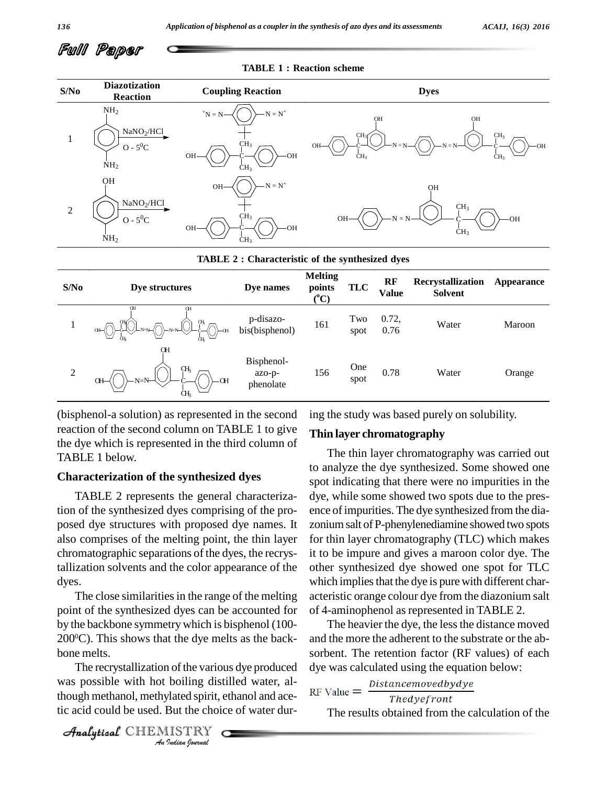

#### **TABLE 1 : Reaction scheme**



#### **TABLE 2 : Characteristic of the synthesized dyes**

| S/No | Dye structures                                             | Dye names                         | <b>Melting</b><br>points<br>$({}^0C)$ | <b>TLC</b>  | <b>RF</b><br>Value | Recrystallization<br><b>Solvent</b> | <b>Appearance</b> |
|------|------------------------------------------------------------|-----------------------------------|---------------------------------------|-------------|--------------------|-------------------------------------|-------------------|
|      | Œ<br><b>CH</b><br>⊮∕∼<br>Œ<br>$\sqrt{2}$<br>$q_{\text{H}}$ | p-disazo-<br>bis(bisphenol)       | 161                                   | Two<br>spot | 0.72,<br>0.76      | Water                               | Maroon            |
| 2    | <b>OH</b><br>Œķ<br>$N=N-$<br>QH<br>-CH<br>Œ                | Bisphenol-<br>azo-p-<br>phenolate | 156                                   | One<br>spot | 0.78               | Water                               | Orange            |

(bisphenol-a solution) as represented in the second reaction of the second column on TABLE 1 to give the dye which is represented in the third column of TABLE 1 below.

### **Characterization of the synthesized dyes**

TABLE 2 represents the general characterization of the synthesized dyes comprising of the pro posed dye structures with proposed dye names. It also comprises of the melting point, the thin layer chromatographic separations of the dyes, the recrystallization solvents and the color appearance of the dyes.<br>The close similarities in the range of the melting

point of the synthesized dyes can be accounted for by the backbone symmetry which is bisphenol (100- $200^{\circ}$ C). This shows that the dye melts as the back- and bone melts.

The recrystallization of the various dye produced dye was *I* of the vario<br> *Indian*<br> *Indian*<br> *I ISTRY*<br> *Indian bournal* was possible with hot boiling distilled water, although methanol, methylated spirit, ethanol and ace- $^{RF}$  Value  $=$ tic acid could be used. But the choice of water dur-

ing the study was based purely on solubility.

### **Thin layer chromatography**

The thin layer chromatography was carried out to analyze the dye synthesized. Some showed one spot indicating that there were no impurities in the dye, while some showed two spots due to the pres ence ofimpurities. The dye synthesized from the dia zoniumsalt ofP-phenylenediamine showed two spots for thin layer chromatography (TLC) which makes it to be impure and gives a maroon color dye. The other synthesized dye showed one spot for TLC which implies that the dye is pure with different characteristic orange colour dye from the diazonium salt of 4-aminophenol as represented in TABLE 2.

The heavier the dye, the less the distance moved and the more the adherent to the substrate or the ab sorbent. The retention factor (RF values) of each dye was calculated using the equation below:

# Distancemovedbydye

Thedyefront

The results obtained from the calculation of the

CHEMISTRY COMPANY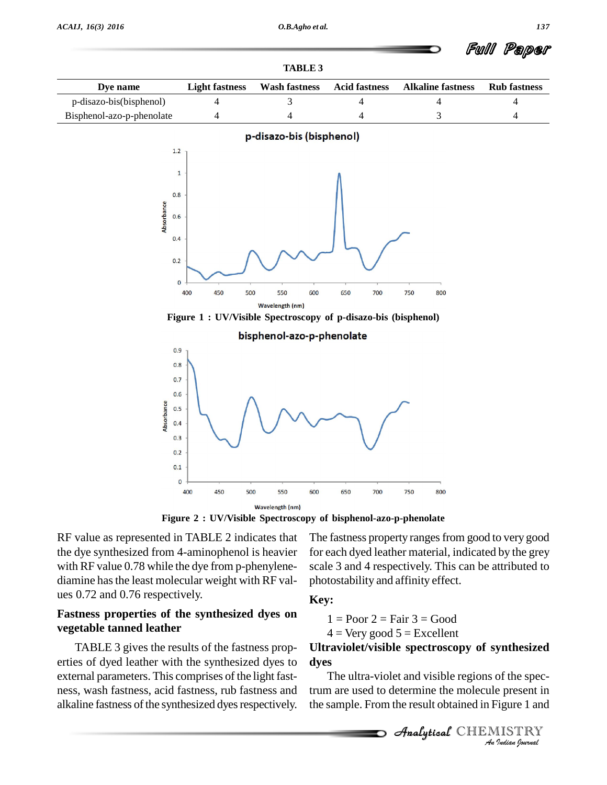| TADLE ?                   |                                                                |                          |                      |                          |                     |  |  |  |  |  |
|---------------------------|----------------------------------------------------------------|--------------------------|----------------------|--------------------------|---------------------|--|--|--|--|--|
| Dye name                  | <b>Light fastness</b>                                          | <b>Wash fastness</b>     | <b>Acid fastness</b> | <b>Alkaline fastness</b> | <b>Rub</b> fastness |  |  |  |  |  |
| p-disazo-bis(bisphenol)   | 4                                                              | 3                        | 4                    | 4                        | 4                   |  |  |  |  |  |
| Bisphenol-azo-p-phenolate | 4                                                              | 4                        | 4                    | 3                        | 4                   |  |  |  |  |  |
|                           |                                                                | p-disazo-bis (bisphenol) |                      |                          |                     |  |  |  |  |  |
| 1.2                       |                                                                |                          |                      |                          |                     |  |  |  |  |  |
|                           | $\mathbf{1}$                                                   |                          |                      |                          |                     |  |  |  |  |  |
|                           |                                                                |                          |                      |                          |                     |  |  |  |  |  |
| 0.8                       |                                                                |                          |                      |                          |                     |  |  |  |  |  |
| Absorbance<br>0.6         |                                                                |                          |                      |                          |                     |  |  |  |  |  |
|                           |                                                                |                          |                      |                          |                     |  |  |  |  |  |
| 0.4                       |                                                                |                          |                      |                          |                     |  |  |  |  |  |
| 0.2                       |                                                                |                          |                      |                          |                     |  |  |  |  |  |
|                           | $\mathbf{O}$                                                   |                          |                      |                          |                     |  |  |  |  |  |
|                           | 400<br>450<br>500                                              | 550<br>600               | 650<br>700           | 750<br>800               |                     |  |  |  |  |  |
|                           |                                                                | Wavelength (nm)          |                      |                          |                     |  |  |  |  |  |
|                           | Figure 1 : UV/Visible Spectroscopy of p-disazo-bis (bisphenol) |                          |                      |                          |                     |  |  |  |  |  |





**Figure 2** : **UV/Visible Spectroscopy** of **bisphenol-azo-p-phenolate** 

RF value as represented in TABLE 2 indicates that the dye synthesized from 4-aminophenol is heavier with RF value 0.78 while the dye from p-phenylene diamine has the least molecular weight with RF values 0.72 and 0.76 respectively.

# **Fastness properties of the synthesized dyes on vegetable tanned leather**

TABLE 3 gives the results of the fastness prop erties of dyed leather with the synthesized dyes to external parameters. This comprises of the light fast ness, wash fastness, acid fastness, rub fastness and alkaline fastness of the synthesized dyes respectively.

The fastness property ranges from good to very good for each dyed leather material, indicated by the grey scale 3 and 4 respectively. This can be attributed to photostability and affinity effect.

# **Key:**

$$
1 =
$$
Poor  $2 =$ Fair  $3 =$ Good

$$
4 =
$$
 Very good  $5 =$  Excellent

# **Ultraviolet/visible** spectroscopy of synthesized **dyes**

of the spec-<br><sup>2</sup>igure 1 and<br>**IISTRY**<br>*Indian Iournal* The ultra-violet and visible regions of the spectrum are used to determine the molecule present in the sample. From the result obtained in Figure 1 and

**Analytical** CHEMISTRY